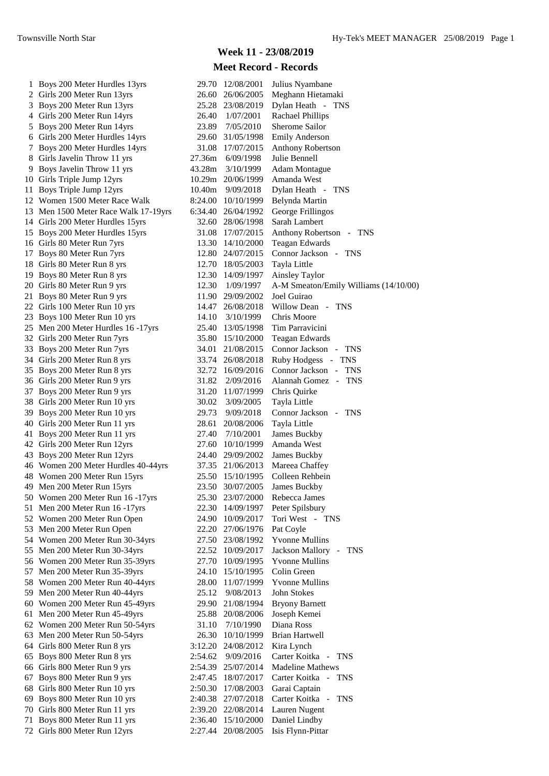# **Week 11 - 23/08/2019**

| 1 Boys 200 Meter Hurdles 13yrs       |         | 29.70 12/08/2001   | Julius Nyambane                       |
|--------------------------------------|---------|--------------------|---------------------------------------|
| 2 Girls 200 Meter Run 13yrs          |         | 26.60 26/06/2005   | Meghann Hietamaki                     |
| 3 Boys 200 Meter Run 13yrs           |         | 25.28 23/08/2019   | Dylan Heath - TNS                     |
| 4 Girls 200 Meter Run 14yrs          | 26.40   | 1/07/2001          | <b>Rachael Phillips</b>               |
| 5 Boys 200 Meter Run 14yrs           | 23.89   | 7/05/2010          | Sherome Sailor                        |
| 6 Girls 200 Meter Hurdles 14yrs      | 29.60   | 31/05/1998         | <b>Emily Anderson</b>                 |
| 7 Boys 200 Meter Hurdles 14yrs       |         | 31.08 17/07/2015   | Anthony Robertson                     |
| 8 Girls Javelin Throw 11 yrs         | 27.36m  | 6/09/1998          | Julie Bennell                         |
| 9 Boys Javelin Throw 11 yrs          | 43.28m  | 3/10/1999          | <b>Adam Montague</b>                  |
| 10 Girls Triple Jump 12yrs           |         | 10.29m 20/06/1999  | Amanda West                           |
| 11 Boys Triple Jump 12yrs            | 10.40m  | 9/09/2018          | Dylan Heath - TNS                     |
| 12 Women 1500 Meter Race Walk        |         | 8:24.00 10/10/1999 | Belynda Martin                        |
|                                      |         | 6:34.40 26/04/1992 | George Frillingos                     |
| 13 Men 1500 Meter Race Walk 17-19yrs |         |                    | Sarah Lambert                         |
| 14 Girls 200 Meter Hurdles 15yrs     |         | 32.60 28/06/1998   |                                       |
| 15 Boys 200 Meter Hurdles 15yrs      |         | 31.08 17/07/2015   | Anthony Robertson - TNS               |
| 16 Girls 80 Meter Run 7yrs           |         | 13.30 14/10/2000   | Teagan Edwards                        |
| 17 Boys 80 Meter Run 7yrs            |         | 12.80 24/07/2015   | Connor Jackson - TNS                  |
| 18 Girls 80 Meter Run 8 yrs          |         | 12.70 18/05/2003   | Tayla Little                          |
| 19 Boys 80 Meter Run 8 yrs           |         | 12.30 14/09/1997   | Ainsley Taylor                        |
| 20 Girls 80 Meter Run 9 yrs          | 12.30   | 1/09/1997          | A-M Smeaton/Emily Williams (14/10/00) |
| 21 Boys 80 Meter Run 9 yrs           |         | 11.90 29/09/2002   | Joel Guirao                           |
| 22 Girls 100 Meter Run 10 yrs        | 14.47   | 26/08/2018         | Willow Dean - TNS                     |
| 23 Boys 100 Meter Run 10 yrs         | 14.10   | 3/10/1999          | Chris Moore                           |
| 25 Men 200 Meter Hurdles 16 -17yrs   |         | 25.40 13/05/1998   | Tim Parravicini                       |
| 32 Girls 200 Meter Run 7yrs          |         | 35.80 15/10/2000   | <b>Teagan Edwards</b>                 |
| 33 Boys 200 Meter Run 7yrs           |         | 34.01 21/08/2015   | Connor Jackson - TNS                  |
| 34 Girls 200 Meter Run 8 yrs         |         | 33.74 26/08/2018   | Ruby Hodgess - TNS                    |
| 35 Boys 200 Meter Run 8 yrs          |         | 32.72 16/09/2016   | Connor Jackson - TNS                  |
| 36 Girls 200 Meter Run 9 yrs         | 31.82   | 2/09/2016          | Alannah Gomez - TNS                   |
| 37 Boys 200 Meter Run 9 yrs          |         | 31.20 11/07/1999   | Chris Quirke                          |
| 38 Girls 200 Meter Run 10 yrs        | 30.02   | 3/09/2005          | Tayla Little                          |
| 39 Boys 200 Meter Run 10 yrs         | 29.73   | 9/09/2018          | Connor Jackson - TNS                  |
| 40 Girls 200 Meter Run 11 yrs        | 28.61   | 20/08/2006         | Tayla Little                          |
| 41 Boys 200 Meter Run 11 yrs         | 27.40   | 7/10/2001          | James Buckby                          |
| 42 Girls 200 Meter Run 12yrs         |         | 27.60 10/10/1999   | Amanda West                           |
| 43 Boys 200 Meter Run 12yrs          | 24.40   | 29/09/2002         | James Buckby                          |
| 46 Women 200 Meter Hurdles 40-44yrs  |         | 37.35 21/06/2013   | Mareea Chaffey                        |
| 48 Women 200 Meter Run 15yrs         |         | 25.50 15/10/1995   | Colleen Rehbein                       |
| 49 Men 200 Meter Run 15yrs           | 23.50   | 30/07/2005         | <b>James Buckby</b>                   |
| 50 Women 200 Meter Run 16 -17yrs     |         | 25.30 23/07/2000   | Rebecca James                         |
| 51 Men 200 Meter Run 16 -17yrs       |         | 22.30 14/09/1997   | Peter Spilsbury                       |
| 52 Women 200 Meter Run Open          |         | 24.90 10/09/2017   | Tori West - TNS                       |
| 53 Men 200 Meter Run Open            |         | 22.20 27/06/1976   | Pat Coyle                             |
| 54 Women 200 Meter Run 30-34yrs      |         | 27.50 23/08/1992   | <b>Yvonne Mullins</b>                 |
| 55 Men 200 Meter Run 30-34yrs        |         | 22.52 10/09/2017   | Jackson Mallory - TNS                 |
| 56 Women 200 Meter Run 35-39yrs      |         | 27.70 10/09/1995   | <b>Yvonne Mullins</b>                 |
| 57 Men 200 Meter Run 35-39yrs        |         | 24.10 15/10/1995   | Colin Green                           |
| 58 Women 200 Meter Run 40-44yrs      |         |                    |                                       |
|                                      | 28.00   | 11/07/1999         | <b>Yvonne Mullins</b>                 |
| 59 Men 200 Meter Run 40-44yrs        | 25.12   | 9/08/2013          | John Stokes                           |
| 60 Women 200 Meter Run 45-49yrs      | 29.90   | 21/08/1994         | <b>Bryony Barnett</b>                 |
| 61 Men 200 Meter Run 45-49yrs        |         | 25.88 20/08/2006   | Joseph Kemei                          |
| 62 Women 200 Meter Run 50-54yrs      | 31.10   | 7/10/1990          | Diana Ross                            |
| 63 Men 200 Meter Run 50-54yrs        | 26.30   | 10/10/1999         | <b>Brian Hartwell</b>                 |
| 64 Girls 800 Meter Run 8 yrs         | 3:12.20 | 24/08/2012         | Kira Lynch                            |
| 65 Boys 800 Meter Run 8 yrs          | 2:54.62 | 9/09/2016          | Carter Koitka - TNS                   |
| 66 Girls 800 Meter Run 9 yrs         | 2:54.39 | 25/07/2014         | <b>Madeline Mathews</b>               |
| 67 Boys 800 Meter Run 9 yrs          | 2:47.45 | 18/07/2017         | Carter Koitka - TNS                   |
| 68 Girls 800 Meter Run 10 yrs        | 2:50.30 | 17/08/2003         | Garai Captain                         |
| 69 Boys 800 Meter Run 10 yrs         | 2:40.38 | 27/07/2018         | Carter Koitka -<br><b>TNS</b>         |
| 70 Girls 800 Meter Run 11 yrs        | 2:39.20 | 22/08/2014         | Lauren Nugent                         |
| 71 Boys 800 Meter Run 11 yrs         |         | 2:36.40 15/10/2000 | Daniel Lindby                         |
| 72 Girls 800 Meter Run 12yrs         |         | 2:27.44 20/08/2005 | Isis Flynn-Pittar                     |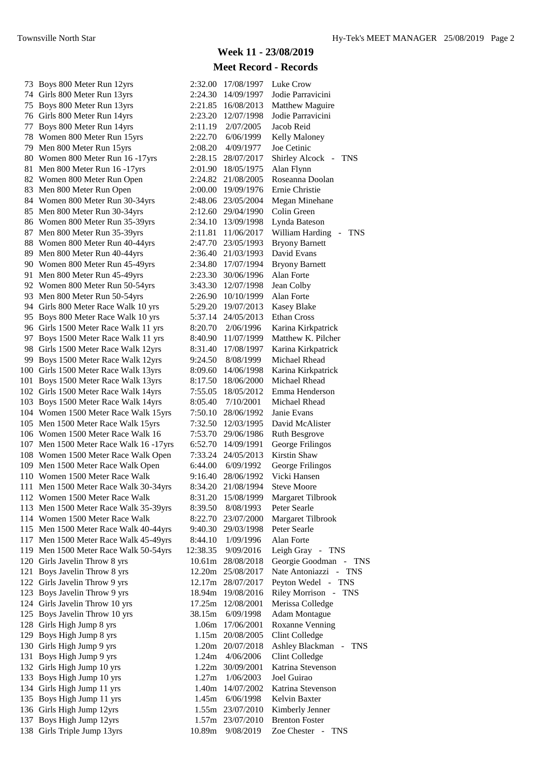|     | 73 Boys 800 Meter Run 12yrs            | 2:32.00  | 17/08/1997         | Luke Crow                                                 |
|-----|----------------------------------------|----------|--------------------|-----------------------------------------------------------|
|     | 74 Girls 800 Meter Run 13yrs           | 2:24.30  | 14/09/1997         | Jodie Parravicini                                         |
|     | 75 Boys 800 Meter Run 13yrs            | 2:21.85  | 16/08/2013         | Matthew Maguire                                           |
|     | 76 Girls 800 Meter Run 14yrs           | 2:23.20  | 12/07/1998         | Jodie Parravicini                                         |
|     | 77 Boys 800 Meter Run 14yrs            | 2:11.19  | 2/07/2005          | Jacob Reid                                                |
|     | 78 Women 800 Meter Run 15yrs           | 2:22.70  | 6/06/1999          | Kelly Maloney                                             |
|     | 79 Men 800 Meter Run 15yrs             | 2:08.20  | 4/09/1977          | Joe Cetinic                                               |
|     | 80 Women 800 Meter Run 16 -17yrs       | 2:28.15  | 28/07/2017         | Shirley Alcock - TNS                                      |
| 81. | Men 800 Meter Run 16 -17yrs            | 2:01.90  | 18/05/1975         | Alan Flynn                                                |
|     | 82 Women 800 Meter Run Open            | 2:24.82  | 21/08/2005         | Roseanna Doolan                                           |
|     | 83 Men 800 Meter Run Open              | 2:00.00  | 19/09/1976         | Ernie Christie                                            |
|     | 84 Women 800 Meter Run 30-34yrs        | 2:48.06  | 23/05/2004         | Megan Minehane                                            |
|     | 85 Men 800 Meter Run 30-34yrs          |          | 2:12.60 29/04/1990 | Colin Green                                               |
|     | 86 Women 800 Meter Run 35-39yrs        | 2:34.10  | 13/09/1998         | Lynda Bateson                                             |
|     | 87 Men 800 Meter Run 35-39yrs          | 2:11.81  | 11/06/2017         | William Harding<br><b>TNS</b><br>$\overline{\phantom{a}}$ |
|     | 88 Women 800 Meter Run 40-44yrs        | 2:47.70  | 23/05/1993         | <b>Bryony Barnett</b>                                     |
|     | 89 Men 800 Meter Run 40-44yrs          | 2:36.40  | 21/03/1993         | David Evans                                               |
|     | 90 Women 800 Meter Run 45-49yrs        | 2:34.80  | 17/07/1994         | <b>Bryony Barnett</b>                                     |
|     | 91 Men 800 Meter Run 45-49yrs          | 2:23.30  |                    | Alan Forte                                                |
|     |                                        | 3:43.30  | 30/06/1996         |                                                           |
|     | 92 Women 800 Meter Run 50-54yrs        |          | 12/07/1998         | Jean Colby                                                |
|     | 93 Men 800 Meter Run 50-54yrs          | 2:26.90  | 10/10/1999         | Alan Forte                                                |
|     | 94 Girls 800 Meter Race Walk 10 yrs    | 5:29.20  | 19/07/2013         | <b>Kasey Blake</b>                                        |
|     | 95 Boys 800 Meter Race Walk 10 yrs     | 5:37.14  | 24/05/2013         | <b>Ethan Cross</b>                                        |
|     | 96 Girls 1500 Meter Race Walk 11 yrs   | 8:20.70  | 2/06/1996          | Karina Kirkpatrick                                        |
|     | 97 Boys 1500 Meter Race Walk 11 yrs    | 8:40.90  | 11/07/1999         | Matthew K. Pilcher                                        |
|     | 98 Girls 1500 Meter Race Walk 12yrs    | 8:31.40  | 17/08/1997         | Karina Kirkpatrick                                        |
|     | 99 Boys 1500 Meter Race Walk 12yrs     | 9:24.50  | 8/08/1999          | Michael Rhead                                             |
|     | 100 Girls 1500 Meter Race Walk 13yrs   | 8:09.60  | 14/06/1998         | Karina Kirkpatrick                                        |
|     | 101 Boys 1500 Meter Race Walk 13yrs    | 8:17.50  | 18/06/2000         | Michael Rhead                                             |
|     | 102 Girls 1500 Meter Race Walk 14yrs   | 7:55.05  | 18/05/2012         | Emma Henderson                                            |
|     | 103 Boys 1500 Meter Race Walk 14yrs    | 8:05.40  | 7/10/2001          | Michael Rhead                                             |
|     | 104 Women 1500 Meter Race Walk 15yrs   | 7:50.10  | 28/06/1992         | Janie Evans                                               |
|     | 105 Men 1500 Meter Race Walk 15yrs     | 7:32.50  | 12/03/1995         | David McAlister                                           |
|     | 106 Women 1500 Meter Race Walk 16      | 7:53.70  | 29/06/1986         | <b>Ruth Besgrove</b>                                      |
|     | 107 Men 1500 Meter Race Walk 16 -17yrs | 6:52.70  | 14/09/1991         | George Frilingos                                          |
|     | 108 Women 1500 Meter Race Walk Open    | 7:33.24  | 24/05/2013         | Kirstin Shaw                                              |
|     | 109 Men 1500 Meter Race Walk Open      | 6:44.00  | 6/09/1992          | George Frilingos                                          |
|     | 110 Women 1500 Meter Race Walk         | 9:16.40  | 28/06/1992         | Vicki Hansen                                              |
|     | 111 Men 1500 Meter Race Walk 30-34yrs  | 8:34.20  | 21/08/1994         | <b>Steve Moore</b>                                        |
|     | 112 Women 1500 Meter Race Walk         | 8:31.20  | 15/08/1999         | Margaret Tilbrook                                         |
|     | 113 Men 1500 Meter Race Walk 35-39yrs  | 8:39.50  | 8/08/1993          | Peter Searle                                              |
|     | 114 Women 1500 Meter Race Walk         | 8:22.70  | 23/07/2000         | Margaret Tilbrook                                         |
|     | 115 Men 1500 Meter Race Walk 40-44yrs  | 9:40.30  | 29/03/1998         | Peter Searle                                              |
|     | 117 Men 1500 Meter Race Walk 45-49yrs  | 8:44.10  | 1/09/1996          | Alan Forte                                                |
|     | 119 Men 1500 Meter Race Walk 50-54yrs  | 12:38.35 | 9/09/2016          | Leigh Gray - TNS                                          |
|     | 120 Girls Javelin Throw 8 yrs          | 10.61m   | 28/08/2018         | Georgie Goodman - TNS                                     |
|     | 121 Boys Javelin Throw 8 yrs           | 12.20m   | 25/08/2017         | Nate Antoniazzi - TNS                                     |
|     | 122 Girls Javelin Throw 9 yrs          |          | 12.17m 28/07/2017  | Peyton Wedel - TNS                                        |
|     | 123 Boys Javelin Throw 9 yrs           | 18.94m   | 19/08/2016         | Riley Morrison - TNS                                      |
|     | 124 Girls Javelin Throw 10 yrs         | 17.25m   | 12/08/2001         | Merissa Colledge                                          |
|     | 125 Boys Javelin Throw 10 yrs          | 38.15m   | 6/09/1998          | <b>Adam Montague</b>                                      |
|     | 128 Girls High Jump 8 yrs              | 1.06m    | 17/06/2001         | <b>Roxanne Venning</b>                                    |
|     | 129 Boys High Jump 8 yrs               | 1.15m    | 20/08/2005         | Clint Colledge                                            |
|     | 130 Girls High Jump 9 yrs              |          |                    | Ashley Blackman - TNS                                     |
|     | 131 Boys High Jump 9 yrs               | 1.20m    | 20/07/2018         | Clint Colledge                                            |
|     |                                        | 1.24m    | 4/06/2006          | Katrina Stevenson                                         |
|     | 132 Girls High Jump 10 yrs             | 1.22m    | 30/09/2001         |                                                           |
|     | 133 Boys High Jump 10 yrs              | 1.27m    | 1/06/2003          | Joel Guirao                                               |
|     | 134 Girls High Jump 11 yrs             | 1.40m    | 14/07/2002         | Katrina Stevenson                                         |
|     | 135 Boys High Jump 11 yrs              | 1.45m    | 6/06/1998          | Kelvin Baxter                                             |
|     | 136 Girls High Jump 12yrs              | 1.55m    | 23/07/2010         | Kimberly Jenner                                           |
|     | 137 Boys High Jump 12yrs               | 1.57m    | 23/07/2010         | <b>Brenton Foster</b>                                     |
|     | 138 Girls Triple Jump 13yrs            | 10.89m   | 9/08/2019          | Zoe Chester - TNS                                         |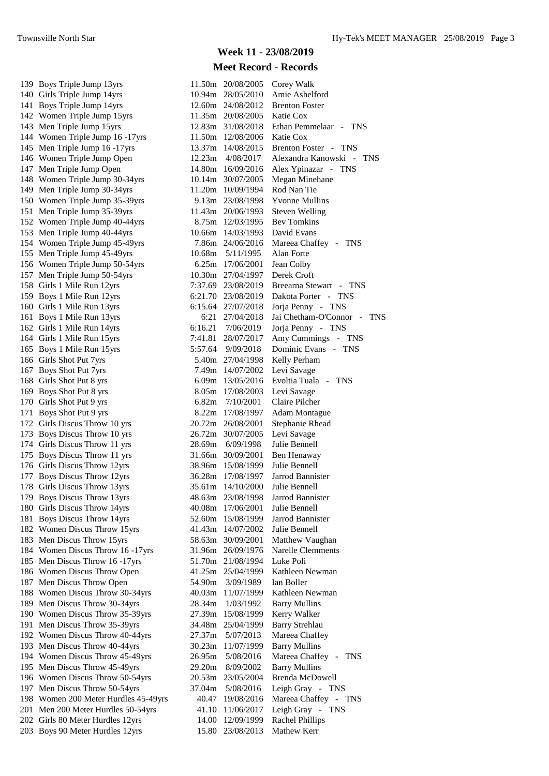139 Boys Triple Jump 13yrs 140 Girls Triple Jump 14yrs 141 Boys Triple Jump 14yrs 142 Women Triple Jump 15yrs 143 Men Triple Jump 15yrs 144 Women Triple Jump 16 -17yrs 145 Men Triple Jump 16 - 17 vrs 146 Women Triple Jump Open 147 Men Triple Jump Open 148 Women Triple Jump 30-34yrs 149 Men Triple Jump 30-34yrs 150 Women Triple Jump 35-39yrs 151 Men Triple Jump 35-39yrs 152 Women Triple Jump 40-44yrs 153 Men Triple Jump 40-44yrs 154 Women Triple Jump 45-49yrs 155 Men Triple Jump 45-49yrs 156 Women Triple Jump 50-54yrs 157 Men Triple Jump 50-54yrs 158 Girls 1 Mile Run 12yrs 159 Boys 1 Mile Run 12yrs 160 Girls 1 Mile Run 13yrs 161 Boys 1 Mile Run 13yrs 162 Girls 1 Mile Run 14yrs 164 Girls 1 Mile Run 15yrs 165 Boys 1 Mile Run 15yrs 166 Girls Shot Put 7yrs 167 Boys Shot Put 7yrs 168 Girls Shot Put 8 yrs 169 Boys Shot Put 8 yrs 170 Girls Shot Put 9 yrs 171 Boys Shot Put 9 yrs 172 Girls Discus Throw 10 yrs 173 Boys Discus Throw 10 yrs 174 Girls Discus Throw 11 yrs 175 Boys Discus Throw 11 yrs 176 Girls Discus Throw 12yrs 177 Boys Discus Throw 12yrs 178 Girls Discus Throw 13yrs 179 Boys Discus Throw 13yrs 180 Girls Discus Throw 14yrs 181 Boys Discus Throw 14yrs 182 Women Discus Throw 15yrs 183 Men Discus Throw 15yrs 184 Women Discus Throw 16 -17yrs 185 Men Discus Throw 16 -17yrs 186 Women Discus Throw Open 187 Men Discus Throw Open 188 Women Discus Throw 30-34yrs 189 Men Discus Throw 30-34yrs 190 Women Discus Throw 35-39yrs 191 Men Discus Throw 35-39yrs 192 Women Discus Throw 40-44yrs 193 Men Discus Throw 40-44yrs 194 Women Discus Throw 45-49yrs 195 Men Discus Throw 45-49yrs 196 Women Discus Throw 50-54yrs 197 Men Discus Throw 50-54yrs 198 Women 200 Meter Hurdles 45-49yrs 201 Men 200 Meter Hurdles 50-54yrs 202 Girls 80 Meter Hurdles 12yrs 203 Boys 90 Meter Hurdles 12yrs 15.80 23/08/2013 Mathew Kerr

| 11.50m  | 20/08/2005           | Corey Walk                                |
|---------|----------------------|-------------------------------------------|
| 10.94m  | 28/05/2010           | Amie Ashelford                            |
| 12.60m  | 24/08/2012           | <b>Brenton Foster</b>                     |
| 11.35m  | 20/08/2005           | Katie Cox                                 |
|         | 12.83m 31/08/2018    | Ethan Pemmelaar - TNS                     |
|         | 11.50m 12/08/2006    | Katie Cox                                 |
|         | 13.37m 14/08/2015    | Brenton Foster - TNS                      |
|         | 12.23m 4/08/2017     | Alexandra Kanowski -<br><b>TNS</b>        |
|         | 14.80m 16/09/2016    | Alex Ypinazar - TNS                       |
|         | 10.14m 30/07/2005    | Megan Minehane                            |
|         | 11.20m 10/09/1994    | Rod Nan Tie                               |
|         | 9.13m 23/08/1998     | Yvonne Mullins                            |
|         | 11.43m 20/06/1993    | <b>Steven Welling</b>                     |
|         | 8.75m 12/03/1995     | <b>Bev Tomkins</b>                        |
|         | 10.66m 14/03/1993    | David Evans                               |
|         | 7.86m 24/06/2016     | Mareea Chaffey - TNS                      |
|         | 10.68m  5/11/1995    | Alan Forte                                |
|         | 6.25m 17/06/2001     | Jean Colby                                |
|         | 10.30m 27/04/1997    | Derek Croft                               |
|         | 7:37.69 23/08/2019   | Breearna Stewart - TNS                    |
|         | 6:21.70 23/08/2019   | Dakota Porter - TNS                       |
|         | 6:15.64 27/07/2018   | Jorja Penny - TNS                         |
|         | 6:21 27/04/2018      | Jai Chetham-O'Connor<br>TNS<br>$\sim$ $-$ |
|         | 6:16.21 7/06/2019    | Jorja Penny - TNS                         |
|         | 7:41.81 28/07/2017   | Amy Cummings - TNS                        |
|         | 5:57.64 9/09/2018    | Dominic Evans - TNS                       |
|         | 5.40m 27/04/1998     | Kelly Perham                              |
|         | 7.49m 14/07/2002     | Levi Savage                               |
|         | 6.09m 13/05/2016     | Evoltia Tuala - TNS                       |
|         | 8.05m 17/08/2003     | Levi Savage                               |
|         | 6.82m 7/10/2001      | Claire Pilcher                            |
|         | 8.22m 17/08/1997     | <b>Adam Montague</b>                      |
| 20.72m  | 26/08/2001           | <b>Stephanie Rhead</b>                    |
| 26.72m  | 30/07/2005           | Levi Savage                               |
|         | 28.69m 6/09/1998     | Julie Bennell                             |
|         | 31.66m 30/09/2001    | Ben Henaway                               |
|         | 38.96m 15/08/1999    | Julie Bennell                             |
|         | 36.28m 17/08/1997    | Jarrod Bannister                          |
| 35.61 m | 14/10/2000           | Julie Bennell                             |
| 48.63m  | 23/08/1998           | Jarrod Bannister                          |
| 40.08m  | 17/06/2001           | Julie Bennell                             |
| 52.60m  | 15/08/1999           | Jarrod Bannister                          |
| 41.43m  | 14/07/2002           | Julie Bennell                             |
| 58.63m  | 30/09/2001           | Matthew Vaughan                           |
| 31.96m  | 26/09/1976           | <b>Narelle Clemments</b>                  |
| 51.70m  | 21/08/1994           | Luke Poli                                 |
| 41.25m  | 25/04/1999           | Kathleen Newman                           |
| 54.90m  | 3/09/1989            | Ian Boller                                |
| 40.03m  | 11/07/1999           | Kathleen Newman                           |
| 28.34m  | 1/03/1992            | <b>Barry Mullins</b>                      |
| 27.39m  | 15/08/1999           | Kerry Walker                              |
| 34.48m  | 25/04/1999           | <b>Barry Strehlau</b>                     |
| 27.37m  | 5/07/2013            | Mareea Chaffey                            |
| 30.23m  | 11/07/1999           | <b>Barry Mullins</b>                      |
| 26.95m  | 5/08/2016            | Mareea Chaffey -<br><b>TNS</b>            |
| 29.20m  | 8/09/2002            | <b>Barry Mullins</b>                      |
| 20.53m  | 23/05/2004           | <b>Brenda McDowell</b>                    |
|         | 37.04m 5/08/2016     | Leigh Gray - TNS                          |
|         | 40.47 19/08/2016     | Mareea Chaffey - TNS                      |
| 41.10   | 11/06/2017           | Leigh Gray - TNS                          |
| 14.00   | 12/09/1999           | <b>Rachel Phillips</b>                    |
|         | $15.00 - 22/00/2012$ | $M$ othow $V$ om                          |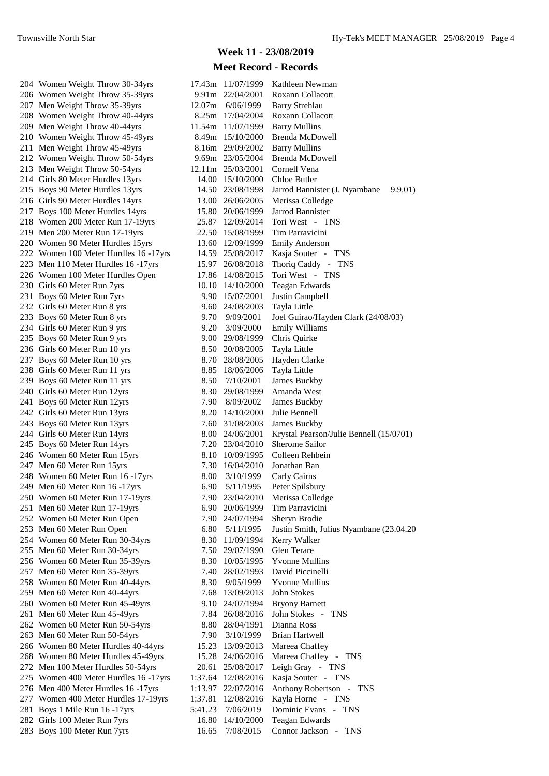204 Women Weight Throw 30-34yrs 206 Women Weight Throw 35-39yrs 207 Men Weight Throw 35-39yrs 208 Women Weight Throw 40-44yrs 209 Men Weight Throw 40-44yrs 210 Women Weight Throw 45-49yrs 211 Men Weight Throw 45-49vrs 212 Women Weight Throw 50-54yrs 213 Men Weight Throw 50-54yrs 214 Girls 80 Meter Hurdles 13yrs 215 Boys 90 Meter Hurdles 13yrs 216 Girls 90 Meter Hurdles 14yrs 217 Boys 100 Meter Hurdles 14yrs 218 Women 200 Meter Run 17-19yrs 219 Men 200 Meter Run 17-19yrs 220 Women 90 Meter Hurdles 15yrs 222 Women 100 Meter Hurdles 16 - 17yrs 223 Men 110 Meter Hurdles 16 - 17yrs 226 Women 100 Meter Hurdles Open 230 Girls 60 Meter Run 7yrs 231 Boys 60 Meter Run 7yrs 232 Girls 60 Meter Run 8 yrs 233 Boys 60 Meter Run 8 yrs 234 Girls 60 Meter Run 9 yrs 235 Boys 60 Meter Run 9 yrs 236 Girls 60 Meter Run 10 yrs 237 Boys 60 Meter Run 10 yrs 238 Girls 60 Meter Run 11 yrs 239 Boys 60 Meter Run 11 yrs 240 Girls 60 Meter Run 12yrs 241 Boys 60 Meter Run 12yrs 242 Girls 60 Meter Run 13yrs 243 Boys 60 Meter Run 13yrs 244 Girls 60 Meter Run 14yrs 245 Boys 60 Meter Run 14yrs 246 Women 60 Meter Run 15yrs 247 Men 60 Meter Run 15yrs 248 Women 60 Meter Run 16 -17yrs 249 Men 60 Meter Run 16 -17yrs 250 Women 60 Meter Run 17-19yrs 251 Men 60 Meter Run 17-19yrs 252 Women 60 Meter Run Open 253 Men 60 Meter Run Open 254 Women 60 Meter Run 30-34yrs 255 Men 60 Meter Run 30-34yrs 256 Women 60 Meter Run 35-39yrs 257 Men 60 Meter Run 35-39yrs 258 Women 60 Meter Run 40-44yrs 259 Men 60 Meter Run 40-44yrs 260 Women 60 Meter Run 45-49yrs 261 Men 60 Meter Run 45-49yrs 262 Women 60 Meter Run 50-54yrs 263 Men 60 Meter Run 50-54yrs 266 Women 80 Meter Hurdles 40-44yrs 268 Women 80 Meter Hurdles 45-49yrs 272 Men 100 Meter Hurdles 50-54yrs 275 Women 400 Meter Hurdles 16 - 17 yrs 276 Men 400 Meter Hurdles 16 - 17yrs 277 Women 400 Meter Hurdles 17-19yrs 281 Boys 1 Mile Run 16 - 17 yrs 282 Girls 100 Meter Run 7yrs 283 Boys 100 Meter Run 7yrs

#### **Week 11 - 23/08/2019**

| 17.43m  | 11/07/1999        | Kathleen Newman                           |
|---------|-------------------|-------------------------------------------|
| 9.91m   | 22/04/2001        | Roxann Collacott                          |
|         | 12.07m 6/06/1999  | <b>Barry Strehlau</b>                     |
|         | 8.25m 17/04/2004  | Roxann Collacott                          |
|         | 11.54m 11/07/1999 | <b>Barry Mullins</b>                      |
|         | 8.49m 15/10/2000  | Brenda McDowell                           |
|         | 8.16m 29/09/2002  | <b>Barry Mullins</b>                      |
| 9.69m   | 23/05/2004        | <b>Brenda McDowell</b>                    |
| 12.11m  | 25/03/2001        | Cornell Vena                              |
|         | 14.00 15/10/2000  | Chloe Butler                              |
|         | 14.50 23/08/1998  | Jarrod Bannister (J. Nyambane<br>9.9.01)  |
|         | 13.00 26/06/2005  | Merissa Colledge                          |
| 15.80   | 20/06/1999        | <b>Jarrod Bannister</b>                   |
|         | 25.87 12/09/2014  | Tori West - TNS                           |
|         | 22.50 15/08/1999  | Tim Parravicini                           |
|         | 13.60 12/09/1999  | <b>Emily Anderson</b>                     |
|         | 14.59 25/08/2017  | Kasja Souter - TNS                        |
| 15.97   | 26/08/2018        | Thoriq Caddy - TNS                        |
|         | 17.86 14/08/2015  | Tori West - TNS                           |
|         | 10.10 14/10/2000  | <b>Teagan Edwards</b>                     |
|         | 9.90 15/07/2001   | Justin Campbell                           |
| 9.60    | 24/08/2003        | Tayla Little                              |
| 9.70    | 9/09/2001         | Joel Guirao/Hayden Clark (24/08/03)       |
| 9.20    | 3/09/2000         | <b>Emily Williams</b>                     |
| 9.00    | 29/08/1999        | Chris Quirke                              |
| 8.50    | 20/08/2005        | Tayla Little                              |
| 8.70    | 28/08/2005        | Hayden Clarke                             |
| 8.85    | 18/06/2006        | Tayla Little                              |
|         | 8.50 7/10/2001    | James Buckby                              |
| 8.30    | 29/08/1999        | Amanda West                               |
|         | 7.90 8/09/2002    | James Buckby                              |
|         | 8.20 14/10/2000   | Julie Bennell                             |
| 7.60    | 31/08/2003        | <b>James Buckby</b>                       |
| 8.00    | 24/06/2001        | Krystal Pearson/Julie Bennell (15/0701)   |
| 7.20    | 23/04/2010        | Sherome Sailor                            |
|         | 8.10 10/09/1995   | Colleen Rehbein                           |
| 7.30    | 16/04/2010        | Jonathan Ban                              |
| 8.00    | 3/10/1999         | Carly Cairns                              |
| 6.90    | 5/11/1995         | Peter Spilsbury                           |
| 7.90    | 23/04/2010        | Merissa Colledge                          |
| 6.90    | 20/06/1999        | Tim Parravicini                           |
| 7.90    | 24/07/1994        | Sheryn Brodie                             |
|         | 6.80 5/11/1995    | Justin Smith, Julius Nyambane (23.04.20   |
| 8.30    | 11/09/1994        | Kerry Walker                              |
| 7.50    | 29/07/1990        | Glen Terare                               |
| 8.30    | 10/05/1995        | <b>Yvonne Mullins</b>                     |
| 7.40    | 28/02/1993        | David Piccinelli                          |
| 8.30    | 9/05/1999         | <b>Yvonne Mullins</b>                     |
| 7.68    | 13/09/2013        | John Stokes                               |
| 9.10    | 24/07/1994        | <b>Bryony Barnett</b>                     |
| 7.84    | 26/08/2016        | John Stokes<br><b>TNS</b><br>$\sim$ $-$   |
| 8.80    | 28/04/1991        | Dianna Ross                               |
| 7.90    | 3/10/1999         | <b>Brian Hartwell</b>                     |
| 15.23   | 13/09/2013        | Mareea Chaffey                            |
| 15.28   | 24/06/2016        | Mareea Chaffey - TNS                      |
| 20.61   | 25/08/2017        | Leigh Gray - TNS                          |
| 1:37.64 | 12/08/2016        | Kasja Souter - TNS                        |
| 1:13.97 | 22/07/2016        | Anthony Robertson<br>$\sim$<br><b>TNS</b> |
| 1:37.81 | 12/08/2016        | Kayla Horne -<br><b>TNS</b>               |
| 5:41.23 | 7/06/2019         | Dominic Evans<br>TNS<br>$\frac{1}{2}$     |
| 16.80   | 14/10/2000        | Teagan Edwards                            |
| 16.65   | 7/08/2015         | Connor Jackson<br><b>TNS</b>              |
|         |                   |                                           |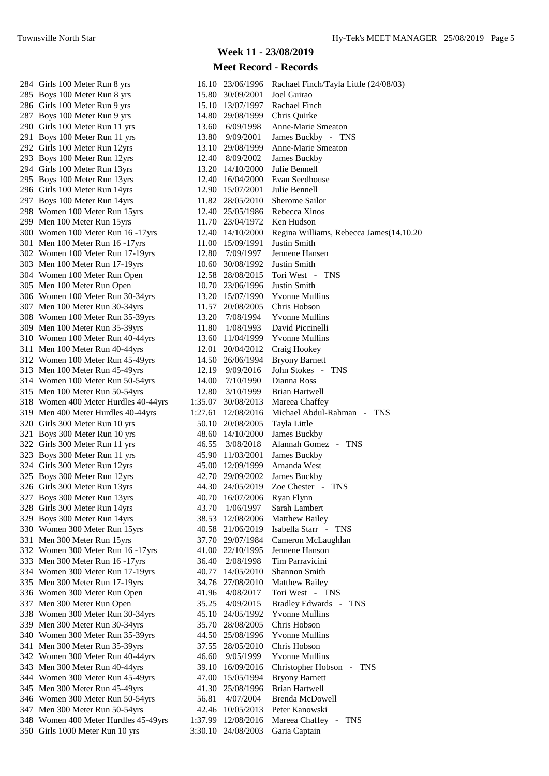#### **Week 11 - 23/08/2019**

| 284 Girls 100 Meter Run 8 yrs        |         | 16.10 23/06/1996   | Rachael Finch/Tayla Little (24/08/03)    |
|--------------------------------------|---------|--------------------|------------------------------------------|
| 285 Boys 100 Meter Run 8 yrs         |         | 15.80 30/09/2001   | Joel Guirao                              |
| 286 Girls 100 Meter Run 9 yrs        |         | 15.10 13/07/1997   | Rachael Finch                            |
| 287 Boys 100 Meter Run 9 yrs         |         | 14.80 29/08/1999   | Chris Quirke                             |
| 290 Girls 100 Meter Run 11 yrs       | 13.60   | 6/09/1998          | Anne-Marie Smeaton                       |
| 291 Boys 100 Meter Run 11 yrs        | 13.80   | 9/09/2001          | James Buckby - TNS                       |
| 292 Girls 100 Meter Run 12yrs        | 13.10   | 29/08/1999         | Anne-Marie Smeaton                       |
| 293 Boys 100 Meter Run 12yrs         | 12.40   | 8/09/2002          | James Buckby                             |
| 294 Girls 100 Meter Run 13yrs        |         | 13.20 14/10/2000   | Julie Bennell                            |
| 295 Boys 100 Meter Run 13yrs         |         | 12.40 16/04/2000   | Evan Seedhouse                           |
| 296 Girls 100 Meter Run 14yrs        |         | 12.90 15/07/2001   | Julie Bennell                            |
| 297 Boys 100 Meter Run 14yrs         |         | 11.82 28/05/2010   | Sherome Sailor                           |
| 298 Women 100 Meter Run 15yrs        |         | 12.40 25/05/1986   | Rebecca Xinos                            |
|                                      |         |                    | Ken Hudson                               |
| 299 Men 100 Meter Run 15yrs          |         | 11.70 23/04/1972   |                                          |
| 300 Women 100 Meter Run 16 -17yrs    |         | 12.40 14/10/2000   | Regina Williams, Rebecca James (14.10.20 |
| 301 Men 100 Meter Run 16 -17yrs      |         | 11.00 15/09/1991   | Justin Smith                             |
| 302 Women 100 Meter Run 17-19yrs     | 12.80   | 7/09/1997          | Jennene Hansen                           |
| 303 Men 100 Meter Run 17-19yrs       | 10.60   | 30/08/1992         | Justin Smith                             |
| 304 Women 100 Meter Run Open         | 12.58   | 28/08/2015         | Tori West - TNS                          |
| 305 Men 100 Meter Run Open           |         | 10.70 23/06/1996   | Justin Smith                             |
| 306 Women 100 Meter Run 30-34yrs     |         | 13.20 15/07/1990   | <b>Yvonne Mullins</b>                    |
| 307 Men 100 Meter Run 30-34yrs       | 11.57   | 20/08/2005         | Chris Hobson                             |
| 308 Women 100 Meter Run 35-39yrs     | 13.20   | 7/08/1994          | Yvonne Mullins                           |
| 309 Men 100 Meter Run 35-39yrs       | 11.80   | 1/08/1993          | David Piccinelli                         |
| 310 Women 100 Meter Run 40-44yrs     | 13.60   | 11/04/1999         | <b>Yvonne Mullins</b>                    |
| 311 Men 100 Meter Run 40-44yrs       | 12.01   | 20/04/2012         | Craig Hookey                             |
| 312 Women 100 Meter Run 45-49yrs     |         | 14.50 26/06/1994   | <b>Bryony Barnett</b>                    |
| 313 Men 100 Meter Run 45-49yrs       | 12.19   | 9/09/2016          | John Stokes - TNS                        |
| 314 Women 100 Meter Run 50-54yrs     | 14.00   | 7/10/1990          | Dianna Ross                              |
| 315 Men 100 Meter Run 50-54yrs       | 12.80   | 3/10/1999          | <b>Brian Hartwell</b>                    |
| 318 Women 400 Meter Hurdles 40-44yrs | 1:35.07 | 30/08/2013         | Mareea Chaffey                           |
| 319 Men 400 Meter Hurdles 40-44yrs   | 1:27.61 | 12/08/2016         | Michael Abdul-Rahman - TNS               |
| 320 Girls 300 Meter Run 10 yrs       |         | 50.10 20/08/2005   | Tayla Little                             |
| 321 Boys 300 Meter Run 10 yrs        |         | 48.60 14/10/2000   | James Buckby                             |
| 322 Girls 300 Meter Run 11 yrs       | 46.55   | 3/08/2018          | Alannah Gomez - TNS                      |
| 323 Boys 300 Meter Run 11 yrs        | 45.90   | 11/03/2001         | <b>James Buckby</b>                      |
| 324 Girls 300 Meter Run 12yrs        |         | 45.00 12/09/1999   | Amanda West                              |
| 325 Boys 300 Meter Run 12yrs         |         | 42.70 29/09/2002   | James Buckby                             |
| 326 Girls 300 Meter Run 13yrs        |         | 44.30 24/05/2019   | Zoe Chester - TNS                        |
| 327 Boys 300 Meter Run 13yrs         |         | 40.70 16/07/2006   | Ryan Flynn                               |
| 328 Girls 300 Meter Run 14yrs        | 43.70   | 1/06/1997          | Sarah Lambert                            |
| 329 Boys 300 Meter Run 14yrs         | 38.53   | 12/08/2006         | <b>Matthew Bailey</b>                    |
| 330 Women 300 Meter Run 15yrs        |         | 40.58 21/06/2019   | Isabella Starr - TNS                     |
| 331 Men 300 Meter Run 15yrs          | 37.70   | 29/07/1984         | Cameron McLaughlan                       |
| 332 Women 300 Meter Run 16 -17yrs    |         | 41.00 22/10/1995   | Jennene Hanson                           |
| 333 Men 300 Meter Run 16 -17yrs      | 36.40   | 2/08/1998          | Tim Parravicini                          |
| 334 Women 300 Meter Run 17-19yrs     | 40.77   | 14/05/2010         | Shannon Smith                            |
|                                      |         |                    |                                          |
| 335 Men 300 Meter Run 17-19yrs       | 34.76   | 27/08/2010         | Matthew Bailey                           |
| 336 Women 300 Meter Run Open         | 41.96   | 4/08/2017          | Tori West - TNS                          |
| 337 Men 300 Meter Run Open           | 35.25   | 4/09/2015          | Bradley Edwards - TNS                    |
| 338 Women 300 Meter Run 30-34yrs     |         | 45.10 24/05/1992   | <b>Yvonne Mullins</b>                    |
| 339 Men 300 Meter Run 30-34yrs       |         | 35.70 28/08/2005   | Chris Hobson                             |
| 340 Women 300 Meter Run 35-39yrs     |         | 44.50 25/08/1996   | <b>Yvonne Mullins</b>                    |
| 341 Men 300 Meter Run 35-39yrs       | 37.55   | 28/05/2010         | Chris Hobson                             |
| 342 Women 300 Meter Run 40-44yrs     | 46.60   | 9/05/1999          | <b>Yvonne Mullins</b>                    |
| 343 Men 300 Meter Run 40-44yrs       | 39.10   | 16/09/2016         | Christopher Hobson - TNS                 |
| 344 Women 300 Meter Run 45-49yrs     |         | 47.00 15/05/1994   | <b>Bryony Barnett</b>                    |
| 345 Men 300 Meter Run 45-49yrs       |         | 41.30 25/08/1996   | <b>Brian Hartwell</b>                    |
| 346 Women 300 Meter Run 50-54yrs     | 56.81   | 4/07/2004          | Brenda McDowell                          |
| 347 Men 300 Meter Run 50-54yrs       | 42.46   | 10/05/2013         | Peter Kanowski                           |
| 348 Women 400 Meter Hurdles 45-49yrs |         | 1:37.99 12/08/2016 | Mareea Chaffey -<br><b>TNS</b>           |
| 350 Girls 1000 Meter Run 10 yrs      |         | 3:30.10 24/08/2003 | Garia Captain                            |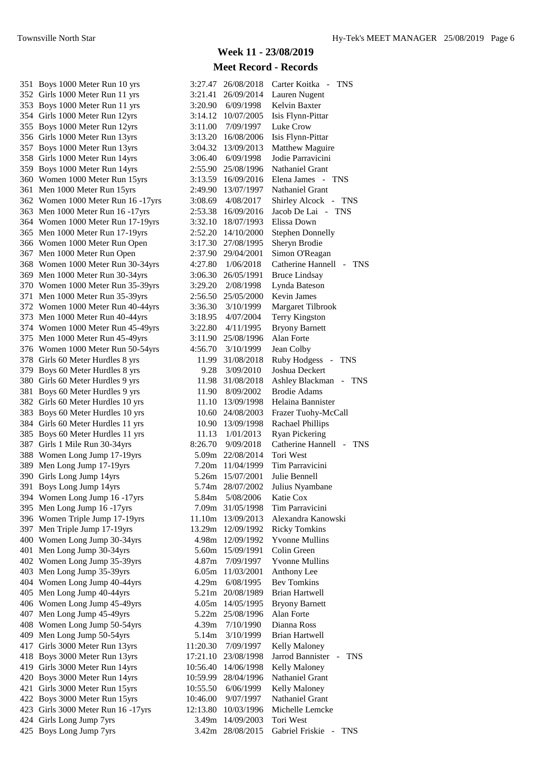351 Boys 1000 Meter Run 10 yrs 352 Girls 1000 Meter Run 11 yrs 353 Boys 1000 Meter Run 11 yrs 354 Girls 1000 Meter Run 12yrs 355 Boys 1000 Meter Run 12yrs 356 Girls 1000 Meter Run 13yrs 357 Boys 1000 Meter Run 13yrs 358 Girls 1000 Meter Run 14yrs 359 Boys 1000 Meter Run 14yrs 360 Women 1000 Meter Run 15yrs 361 Men 1000 Meter Run 15yrs 362 Women 1000 Meter Run 16 - 17yrs 363 Men 1000 Meter Run 16 - 17 yrs 364 Women 1000 Meter Run 17-19yrs 365 Men 1000 Meter Run 17-19yrs 366 Women 1000 Meter Run Open 367 Men 1000 Meter Run Open 368 Women 1000 Meter Run 30-34yrs 369 Men 1000 Meter Run 30-34yrs 370 Women 1000 Meter Run 35-39yrs 371 Men 1000 Meter Run 35-39yrs 372 Women 1000 Meter Run 40-44yrs 373 Men 1000 Meter Run 40-44yrs 374 Women 1000 Meter Run 45-49yrs 375 Men 1000 Meter Run 45-49yrs 376 Women 1000 Meter Run 50-54yrs 378 Girls 60 Meter Hurdles 8 yrs 379 Boys 60 Meter Hurdles 8 yrs 380 Girls 60 Meter Hurdles 9 yrs 381 Boys 60 Meter Hurdles 9 yrs 382 Girls 60 Meter Hurdles 10 yrs 383 Boys 60 Meter Hurdles 10 yrs 384 Girls 60 Meter Hurdles 11 yrs 385 Boys 60 Meter Hurdles 11 yrs 387 Girls 1 Mile Run 30-34yrs 388 Women Long Jump 17-19yrs 389 Men Long Jump 17-19yrs 390 Girls Long Jump 14yrs 391 Boys Long Jump 14yrs 394 Women Long Jump 16 -17yrs 395 Men Long Jump 16 -17yrs 396 Women Triple Jump 17-19yrs 397 Men Triple Jump 17-19yrs 400 Women Long Jump 30-34yrs 401 Men Long Jump 30-34 $yrs$ 402 Women Long Jump 35-39yrs 403 Men Long Jump 35-39yrs 404 Women Long Jump 40-44yrs 405 Men Long Jump 40-44yrs 406 Women Long Jump 45-49yrs 407 Men Long Jump 45-49yrs 408 Women Long Jump 50-54yrs 409 Men Long Jump 50-54yrs 417 Girls 3000 Meter Run 13yrs 418 Boys 3000 Meter Run 13yrs 419 Girls 3000 Meter Run 14yrs 420 Boys 3000 Meter Run 14yrs 421 Girls 3000 Meter Run 15yrs 422 Boys 3000 Meter Run 15yrs 423 Girls 3000 Meter Run 16 -17yrs 424 Girls Long Jump 7yrs 425 Boys Long Jump 7yrs

# **Week 11 - 23/08/2019**

| 3:27.47           | 26/08/2018        | Carter Koitka<br>$\sim$<br>TNS                                                    |
|-------------------|-------------------|-----------------------------------------------------------------------------------|
| 3:21.41           | 26/09/2014        | Lauren Nugent                                                                     |
| 3:20.90           | 6/09/1998         | Kelvin Baxter                                                                     |
| 3:14.12           | 10/07/2005        | Isis Flynn-Pittar                                                                 |
| 3:11.00           | 7/09/1997         | Luke Crow                                                                         |
| 3:13.20           | 16/08/2006        | Isis Flynn-Pittar                                                                 |
| 3:04.32           | 13/09/2013        | Matthew Maguire                                                                   |
| 3:06.40           | 6/09/1998         | Jodie Parravicini                                                                 |
| 2:55.90           | 25/08/1996        | <b>Nathaniel Grant</b>                                                            |
| 3:13.59           | 16/09/2016        | Elena James<br><b>TNS</b><br>$\sim$                                               |
| 2:49.90           | 13/07/1997        | <b>Nathaniel Grant</b>                                                            |
|                   | 4/08/2017         |                                                                                   |
| 3:08.69           |                   | <b>Shirley Alcock</b><br>TNS<br>$\mathcal{L}_{\mathcal{A}}$<br>Jacob De Lai - TNS |
| 2:53.38           | 16/09/2016        | Elissa Down                                                                       |
| 3:32.10           | 18/07/1993        |                                                                                   |
| 2:52.20           | 14/10/2000        | <b>Stephen Donnelly</b>                                                           |
| 3:17.30           | 27/08/1995        | Sheryn Brodie                                                                     |
| 2:37.90           | 29/04/2001        | Simon O'Reagan                                                                    |
| 4:27.80           | 1/06/2018         | Catherine Hannell<br>TNS<br>$\sim$ $ \sim$                                        |
| 3:06.30           | 26/05/1991        | <b>Bruce Lindsay</b>                                                              |
| 3:29.20           | 2/08/1998         | Lynda Bateson                                                                     |
| 2:56.50           | 25/05/2000        | <b>Kevin James</b>                                                                |
| 3:36.30           | 3/10/1999         | Margaret Tilbrook                                                                 |
| 3:18.95           | 4/07/2004         | <b>Terry Kingston</b>                                                             |
| 3:22.80           | 4/11/1995         | <b>Bryony Barnett</b>                                                             |
| 3:11.90           | 25/08/1996        | Alan Forte                                                                        |
| 4:56.70           | 3/10/1999         | Jean Colby                                                                        |
| 11.99             | 31/08/2018        | <b>Ruby Hodgess</b><br>TNS<br>$\qquad \qquad -$                                   |
| 9.28              | 3/09/2010         | Joshua Deckert                                                                    |
| 11.98             | 31/08/2018        | Ashley Blackman<br>TNS                                                            |
| 11.90             | 8/09/2002         | <b>Brodie Adams</b>                                                               |
| 11.10             | 13/09/1998        | Helaina Bannister                                                                 |
| 10.60             | 24/08/2003        | Frazer Tuohy-McCall                                                               |
| 10.90             |                   |                                                                                   |
|                   | 13/09/1998        | <b>Rachael Phillips</b>                                                           |
|                   | 11.13 1/01/2013   | <b>Ryan Pickering</b><br>Catherine Hannell                                        |
|                   | 8:26.70 9/09/2018 | TNS<br>$\sim$                                                                     |
| 5.09m             | 22/08/2014        | <b>Tori West</b>                                                                  |
| 7.20 <sub>m</sub> | 11/04/1999        | Tim Parravicini                                                                   |
| 5.26m             | 15/07/2001        | Julie Bennell                                                                     |
| 5.74m             | 28/07/2002        | Julius Nyambane                                                                   |
| 5.84m             | 5/08/2006         | Katie Cox                                                                         |
| 7.09m             | 31/05/1998        | Tim Parravicini                                                                   |
| 11.10m            | 13/09/2013        | Alexandra Kanowski                                                                |
| 13.29m            | 12/09/1992        | <b>Ricky Tomkins</b>                                                              |
| 4.98m             | 12/09/1992        | <b>Yvonne Mullins</b>                                                             |
| 5.60m             | 15/09/1991        | Colin Green                                                                       |
| 4.87m             | 7/09/1997         | <b>Yvonne Mullins</b>                                                             |
| 6.05m             | 11/03/2001        | Anthony Lee                                                                       |
| 4.29m             | 6/08/1995         | <b>Bev Tomkins</b>                                                                |
| 5.21m             | 20/08/1989        | <b>Brian Hartwell</b>                                                             |
| 4.05m             | 14/05/1995        | <b>Bryony Barnett</b>                                                             |
| 5.22m             | 25/08/1996        | Alan Forte                                                                        |
| 4.39m             | 7/10/1990         | Dianna Ross                                                                       |
| 5.14m             | 3/10/1999         | <b>Brian Hartwell</b>                                                             |
| 11:20.30          | 7/09/1997         | Kelly Maloney                                                                     |
| 17:21.10          | 23/08/1998        | Jarrod Bannister<br>TNS                                                           |
| 10:56.40          | 14/06/1998        | Kelly Maloney                                                                     |
| 10:59.99          | 28/04/1996        | <b>Nathaniel Grant</b>                                                            |
| 10:55.50          | 6/06/1999         | Kelly Maloney                                                                     |
| 10:46.00          | 9/07/1997         | <b>Nathaniel Grant</b>                                                            |
| 12:13.80          | 10/03/1996        | Michelle Lemcke                                                                   |
|                   |                   |                                                                                   |
| 3.49m             | 14/09/2003        | Tori West                                                                         |
| 3.42m             | 28/08/2015        | Gabriel Friskie<br><b>TNS</b>                                                     |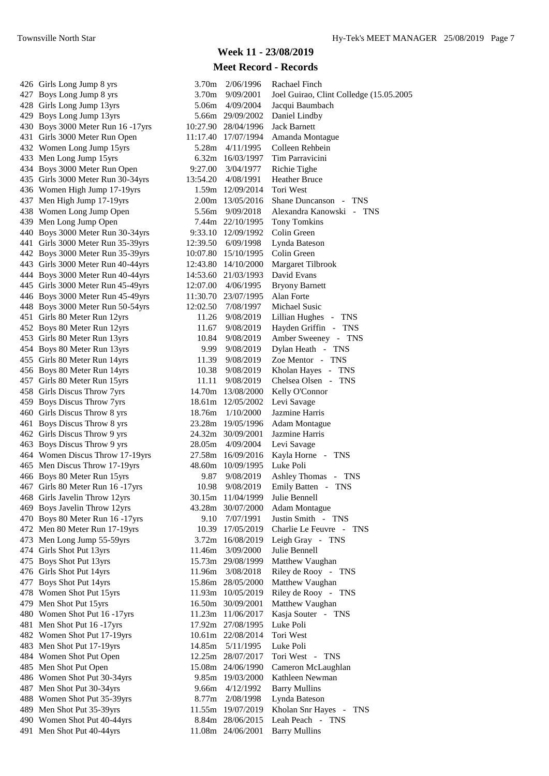#### **Week 11 - 23/08/2019**

| 426 Girls Long Jump 8 yrs         | 3.70m             | 2/06/1996           | Rachael Finch                           |
|-----------------------------------|-------------------|---------------------|-----------------------------------------|
| 427 Boys Long Jump 8 yrs          | 3.70 <sub>m</sub> | 9/09/2001           | Joel Guirao, Clint Colledge (15.05.2005 |
| 428 Girls Long Jump 13yrs         | 5.06m             | 4/09/2004           | Jacqui Baumbach                         |
| 429 Boys Long Jump 13yrs          |                   | 5.66m 29/09/2002    | Daniel Lindby                           |
| 430 Boys 3000 Meter Run 16 -17yrs |                   | 10:27.90 28/04/1996 | <b>Jack Barnett</b>                     |
| 431 Girls 3000 Meter Run Open     | 11:17.40          | 17/07/1994          | Amanda Montague                         |
| 432 Women Long Jump 15yrs         | 5.28m             | 4/11/1995           | Colleen Rehbein                         |
| 433 Men Long Jump 15yrs           |                   | 6.32m 16/03/1997    | Tim Parravicini                         |
| 434 Boys 3000 Meter Run Open      | 9:27.00           | 3/04/1977           | Richie Tighe                            |
| 435 Girls 3000 Meter Run 30-34yrs | 13:54.20          | 4/08/1991           | <b>Heather Bruce</b>                    |
| 436 Women High Jump 17-19yrs      |                   | 1.59m 12/09/2014    | Tori West                               |
| 437 Men High Jump 17-19yrs        |                   | 2.00m 13/05/2016    | Shane Duncanson - TNS                   |
| 438 Women Long Jump Open          | 5.56m             | 9/09/2018           | Alexandra Kanowski - TNS                |
| 439 Men Long Jump Open            |                   | 7.44m 22/10/1995    | <b>Tony Tomkins</b>                     |
| 440 Boys 3000 Meter Run 30-34yrs  |                   | 9:33.10 12/09/1992  | Colin Green                             |
| 441 Girls 3000 Meter Run 35-39yrs | 12:39.50          | 6/09/1998           | Lynda Bateson                           |
| 442 Boys 3000 Meter Run 35-39yrs  |                   | 10:07.80 15/10/1995 | Colin Green                             |
| 443 Girls 3000 Meter Run 40-44yrs | 12:43.80          | 14/10/2000          | Margaret Tilbrook                       |
| 444 Boys 3000 Meter Run 40-44yrs  | 14:53.60          | 21/03/1993          | David Evans                             |
| 445 Girls 3000 Meter Run 45-49yrs | 12:07.00          | 4/06/1995           | <b>Bryony Barnett</b>                   |
| 446 Boys 3000 Meter Run 45-49yrs  |                   | 11:30.70 23/07/1995 | Alan Forte                              |
| 448 Boys 3000 Meter Run 50-54yrs  | 12:02.50          | 7/08/1997           | Michael Susic                           |
| 451 Girls 80 Meter Run 12yrs      | 11.26             | 9/08/2019           | Lillian Hughes - TNS                    |
|                                   | 11.67             | 9/08/2019           | Hayden Griffin - TNS                    |
| 452 Boys 80 Meter Run 12yrs       | 10.84             |                     | Amber Sweeney - TNS                     |
| 453 Girls 80 Meter Run 13yrs      |                   | 9/08/2019           |                                         |
| 454 Boys 80 Meter Run 13yrs       | 9.99              | 9/08/2019           | Dylan Heath - TNS                       |
| 455 Girls 80 Meter Run 14yrs      | 11.39             | 9/08/2019           | Zoe Mentor - TNS                        |
| 456 Boys 80 Meter Run 14yrs       | 10.38             | 9/08/2019           | Kholan Hayes - TNS                      |
| 457 Girls 80 Meter Run 15yrs      | 11.11             | 9/08/2019           | Chelsea Olsen - TNS                     |
| 458 Girls Discus Throw 7yrs       |                   | 14.70m 13/08/2000   | Kelly O'Connor                          |
| 459 Boys Discus Throw 7yrs        |                   | 18.61m 12/05/2002   | Levi Savage                             |
| 460 Girls Discus Throw 8 yrs      | 18.76m            | 1/10/2000           | Jazmine Harris                          |
| 461 Boys Discus Throw 8 yrs       |                   | 23.28m 19/05/1996   | <b>Adam Montague</b>                    |
| 462 Girls Discus Throw 9 yrs      |                   | 24.32m 30/09/2001   | Jazmine Harris                          |
| 463 Boys Discus Throw 9 yrs       |                   | 28.05m 4/09/2004    | Levi Savage                             |
| 464 Women Discus Throw 17-19yrs   |                   | 27.58m 16/09/2016   | Kayla Horne - TNS                       |
| 465 Men Discus Throw 17-19yrs     |                   | 48.60m 10/09/1995   | Luke Poli                               |
| 466 Boys 80 Meter Run 15yrs       | 9.87              | 9/08/2019           | Ashley Thomas - TNS                     |
| 467 Girls 80 Meter Run 16 -17yrs  | 10.98             | 9/08/2019           | Emily Batten - TNS                      |
| 468 Girls Javelin Throw 12yrs     |                   | 30.15m 11/04/1999   | Julie Bennell                           |
| 469 Boys Javelin Throw 12yrs      |                   | 43.28m 30/07/2000   | <b>Adam Montague</b>                    |
| 470 Boys 80 Meter Run 16 -17yrs   | 9.10              | 7/07/1991           | Justin Smith - TNS                      |
| 472 Men 80 Meter Run 17-19yrs     |                   | 10.39 17/05/2019    | Charlie Le Feuvre - TNS                 |
| 473 Men Long Jump 55-59yrs        |                   | 3.72m 16/08/2019    | Leigh Gray - TNS                        |
| 474 Girls Shot Put 13yrs          | 11.46m            | 3/09/2000           | Julie Bennell                           |
| 475 Boys Shot Put 13yrs           |                   | 15.73m 29/08/1999   | Matthew Vaughan                         |
| 476 Girls Shot Put 14yrs          |                   | 11.96m  3/08/2018   | Riley de Rooy - TNS                     |
| 477 Boys Shot Put 14yrs           |                   | 15.86m 28/05/2000   | Matthew Vaughan                         |
| 478 Women Shot Put 15yrs          |                   | 11.93m 10/05/2019   | Riley de Rooy - TNS                     |
| 479 Men Shot Put 15yrs            |                   | 16.50m 30/09/2001   | Matthew Vaughan                         |
| 480 Women Shot Put 16 -17yrs      |                   | 11.23m 11/06/2017   | Kasja Souter - TNS                      |
| 481 Men Shot Put 16 -17yrs        |                   | 17.92m 27/08/1995   | Luke Poli                               |
| 482 Women Shot Put 17-19yrs       |                   | 10.61m 22/08/2014   | Tori West                               |
| 483 Men Shot Put 17-19yrs         | 14.85m            | 5/11/1995           | Luke Poli                               |
| 484 Women Shot Put Open           |                   | 12.25m 28/07/2017   | Tori West - TNS                         |
| 485 Men Shot Put Open             |                   | 15.08m 24/06/1990   | Cameron McLaughlan                      |
| 486 Women Shot Put 30-34yrs       |                   | 9.85m 19/03/2000    | Kathleen Newman                         |
| 487 Men Shot Put 30-34yrs         | 9.66m             | 4/12/1992           | <b>Barry Mullins</b>                    |
| 488 Women Shot Put 35-39yrs       | 8.77m             | 2/08/1998           | Lynda Bateson                           |
| 489 Men Shot Put 35-39yrs         |                   | 11.55m 19/07/2019   | Kholan Snr Hayes - TNS                  |
| 490 Women Shot Put 40-44yrs       |                   | 8.84m 28/06/2015    | Leah Peach - TNS                        |
| 491 Men Shot Put 40-44yrs         |                   | 11.08m 24/06/2001   | <b>Barry Mullins</b>                    |
|                                   |                   |                     |                                         |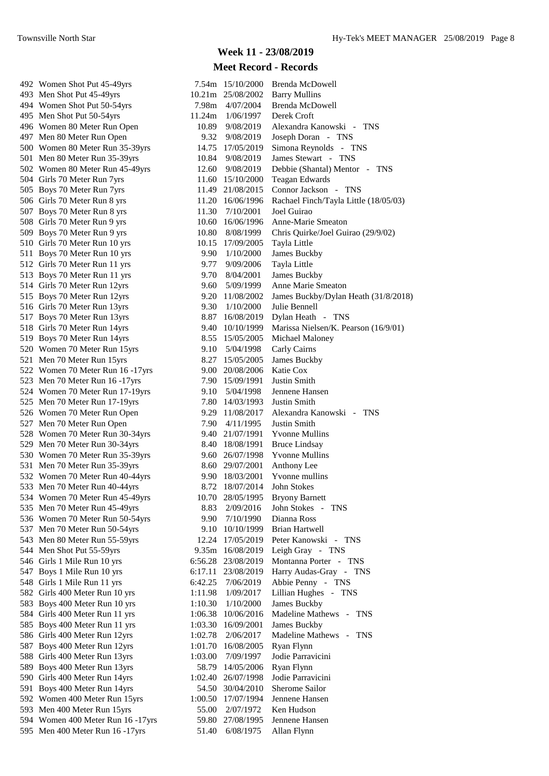# **Week 11 - 23/08/2019**

| 492 Women Shot Put 45-49yrs           |         | 7.54m 15/10/2000  | <b>Brenda McDowell</b>                |
|---------------------------------------|---------|-------------------|---------------------------------------|
| 493 Men Shot Put 45-49yrs             |         | 10.21m 25/08/2002 | <b>Barry Mullins</b>                  |
| 494 Women Shot Put 50-54yrs           | 7.98m   | 4/07/2004         | Brenda McDowell                       |
| 495 Men Shot Put 50-54yrs             | 11.24m  | 1/06/1997         | Derek Croft                           |
| 496 Women 80 Meter Run Open           | 10.89   | 9/08/2019         | Alexandra Kanowski - TNS              |
| 497 Men 80 Meter Run Open             | 9.32    | 9/08/2019         | Joseph Doran - TNS                    |
| 500 Women 80 Meter Run 35-39yrs       | 14.75   | 17/05/2019        | Simona Reynolds - TNS                 |
| 501 Men 80 Meter Run 35-39yrs         | 10.84   | 9/08/2019         | James Stewart - TNS                   |
| 502 Women 80 Meter Run 45-49yrs       | 12.60   | 9/08/2019         | Debbie (Shantal) Mentor - TNS         |
| 504 Girls 70 Meter Run 7yrs           | 11.60   | 15/10/2000        | <b>Teagan Edwards</b>                 |
| 505 Boys 70 Meter Run 7yrs            | 11.49   | 21/08/2015        | Connor Jackson - TNS                  |
| 506 Girls 70 Meter Run 8 yrs          | 11.20   | 16/06/1996        | Rachael Finch/Tayla Little (18/05/03) |
| 507 Boys 70 Meter Run 8 yrs           | 11.30   | 7/10/2001         | Joel Guirao                           |
|                                       | 10.60   |                   | Anne-Marie Smeaton                    |
| 508 Girls 70 Meter Run 9 yrs          |         | 16/06/1996        |                                       |
| 509 Boys 70 Meter Run 9 yrs           | 10.80   | 8/08/1999         | Chris Quirke/Joel Guirao (29/9/02)    |
| 510 Girls 70 Meter Run 10 yrs         | 10.15   | 17/09/2005        | Tayla Little                          |
| 511 Boys 70 Meter Run 10 yrs          | 9.90    | 1/10/2000         | James Buckby                          |
| 512 Girls 70 Meter Run 11 yrs         | 9.77    | 9/09/2006         | Tayla Little                          |
| 513 Boys 70 Meter Run 11 yrs          | 9.70    | 8/04/2001         | James Buckby                          |
| 514 Girls 70 Meter Run 12yrs          | 9.60    | 5/09/1999         | Anne Marie Smeaton                    |
| 515 Boys 70 Meter Run 12yrs           | 9.20    | 11/08/2002        | James Buckby/Dylan Heath (31/8/2018)  |
| 516 Girls 70 Meter Run 13yrs          | 9.30    | 1/10/2000         | Julie Bennell                         |
| 517 Boys 70 Meter Run 13yrs           | 8.87    | 16/08/2019        | Dylan Heath - TNS                     |
| 518 Girls 70 Meter Run 14yrs          | 9.40    | 10/10/1999        | Marissa Nielsen/K. Pearson (16/9/01)  |
| 519 Boys 70 Meter Run 14yrs           | 8.55    | 15/05/2005        | Michael Maloney                       |
| 520 Women 70 Meter Run 15yrs          | 9.10    | 5/04/1998         | Carly Cairns                          |
| 521 Men 70 Meter Run 15yrs            | 8.27    | 15/05/2005        | James Buckby                          |
| 522 Women 70 Meter Run 16 -17yrs      | 9.00    | 20/08/2006        | Katie Cox                             |
| 523 Men 70 Meter Run 16 -17yrs        | 7.90    | 15/09/1991        | Justin Smith                          |
| 524 Women 70 Meter Run 17-19yrs       | 9.10    | 5/04/1998         | Jennene Hansen                        |
| 525 Men 70 Meter Run 17-19yrs         |         | 7.80 14/03/1993   | Justin Smith                          |
| 526 Women 70 Meter Run Open           |         | 9.29 11/08/2017   | Alexandra Kanowski - TNS              |
| 527 Men 70 Meter Run Open             | 7.90-   | 4/11/1995         | <b>Justin Smith</b>                   |
| 528 Women 70 Meter Run 30-34yrs       | 9.40    | 21/07/1991        | <b>Yvonne Mullins</b>                 |
| 529 Men 70 Meter Run 30-34yrs         | 8.40    | 18/08/1991        | <b>Bruce Lindsay</b>                  |
| 530 Women 70 Meter Run 35-39yrs       |         | 9.60 26/07/1998   | <b>Yvonne Mullins</b>                 |
| 531 Men 70 Meter Run 35-39yrs         |         | 8.60 29/07/2001   | Anthony Lee                           |
| 532 Women 70 Meter Run 40-44yrs       | 9.90    | 18/03/2001        | Yvonne mullins                        |
| 533 Men 70 Meter Run 40-44yrs         | 8.72    | 18/07/2014        | John Stokes                           |
| 534 Women 70 Meter Run 45-49yrs       | 10.70   | 28/05/1995        | <b>Bryony Barnett</b>                 |
| 535 Men 70 Meter Run 45-49yrs         | 8.83    | 2/09/2016         | John Stokes - TNS                     |
|                                       |         |                   | Dianna Ross                           |
| 536 Women 70 Meter Run 50-54yrs       | 9.90    | 7/10/1990         |                                       |
| 537 Men 70 Meter Run 50-54yrs         | 9.10    | 10/10/1999        | Brian Hartwell                        |
| 543 Men 80 Meter Run 55-59yrs         | 12.24   | 17/05/2019        | Peter Kanowski - TNS                  |
| 544 Men Shot Put 55-59yrs             | 9.35m   | 16/08/2019        | Leigh Gray - TNS                      |
| 546 Girls 1 Mile Run 10 yrs           | 6:56.28 | 23/08/2019        | Montanna Porter - TNS                 |
| 547 Boys 1 Mile Run 10 yrs            | 6:17.11 | 23/08/2019        | Harry Audas-Gray - TNS                |
| 548 Girls 1 Mile Run 11 yrs           | 6:42.25 | 7/06/2019         | Abbie Penny - TNS                     |
| 582 Girls 400 Meter Run 10 yrs        | 1:11.98 | 1/09/2017         | Lillian Hughes - TNS                  |
| 583 Boys 400 Meter Run 10 yrs         | 1:10.30 | 1/10/2000         | James Buckby                          |
| 584 Girls 400 Meter Run 11 yrs        | 1:06.38 | 10/06/2016        | Madeline Mathews - TNS                |
| 585 Boys 400 Meter Run 11 yrs         | 1:03.30 | 16/09/2001        | James Buckby                          |
| 586 Girls 400 Meter Run 12yrs         | 1:02.78 | 2/06/2017         | Madeline Mathews - TNS                |
| 587 Boys 400 Meter Run 12yrs          | 1:01.70 | 16/08/2005        | Ryan Flynn                            |
| 588 Girls 400 Meter Run 13yrs         | 1:03.00 | 7/09/1997         | Jodie Parravicini                     |
| 589 Boys 400 Meter Run 13yrs          | 58.79   | 14/05/2006        | Ryan Flynn                            |
| 590 Girls 400 Meter Run 14yrs         | 1:02.40 | 26/07/1998        | Jodie Parravicini                     |
| 591 Boys 400 Meter Run 14yrs          | 54.50   | 30/04/2010        | Sherome Sailor                        |
| 592 Women 400 Meter Run 15yrs         | 1:00.50 | 17/07/1994        | Jennene Hansen                        |
| 593 Men 400 Meter Run 15yrs           | 55.00   | 2/07/1972         | Ken Hudson                            |
| 594 Women 400 Meter Run 16 -17yrs     | 59.80   | 27/08/1995        | Jennene Hansen                        |
| 595 Men $400$ Meter Run $16 - 17$ vrs |         | 51.40 $6/08/1975$ | Allan Flynn                           |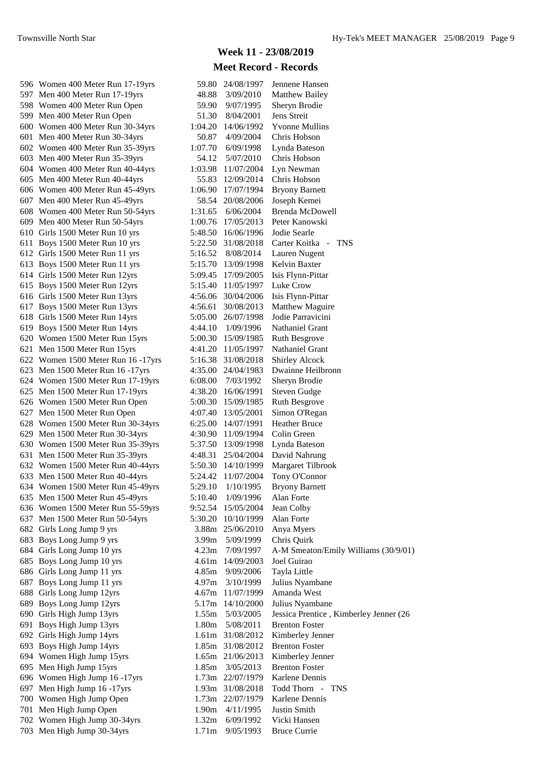| 596 Women 400 Meter Run 17-19yrs   | 59.80             | 24/08/1997         | Jennene Hansen                         |
|------------------------------------|-------------------|--------------------|----------------------------------------|
| 597 Men 400 Meter Run 17-19yrs     | 48.88             | 3/09/2010          | Matthew Bailey                         |
| 598 Women 400 Meter Run Open       | 59.90             | 9/07/1995          | Sheryn Brodie                          |
| 599 Men 400 Meter Run Open         | 51.30             | 8/04/2001          | Jens Streit                            |
| 600 Women 400 Meter Run 30-34yrs   | 1:04.20           | 14/06/1992         | <b>Yvonne Mullins</b>                  |
| 601 Men 400 Meter Run 30-34yrs     | 50.87             | 4/09/2004          | Chris Hobson                           |
| 602 Women 400 Meter Run 35-39yrs   | 1:07.70           | 6/09/1998          | Lynda Bateson                          |
| 603 Men 400 Meter Run 35-39yrs     | 54.12             | 5/07/2010          | Chris Hobson                           |
| 604 Women 400 Meter Run 40-44yrs   | 1:03.98           | 11/07/2004         | Lyn Newman                             |
| 605 Men 400 Meter Run 40-44yrs     | 55.83             | 12/09/2014         | Chris Hobson                           |
| 606 Women 400 Meter Run 45-49yrs   | 1:06.90           | 17/07/1994         | <b>Bryony Barnett</b>                  |
| 607 Men 400 Meter Run 45-49yrs     | 58.54             | 20/08/2006         | Joseph Kemei                           |
| 608 Women 400 Meter Run 50-54yrs   | 1:31.65           | 6/06/2004          | <b>Brenda McDowell</b>                 |
| 609 Men 400 Meter Run 50-54yrs     |                   | 1:00.76 17/05/2013 | Peter Kanowski                         |
| 610 Girls 1500 Meter Run 10 yrs    |                   | 5:48.50 16/06/1996 | Jodie Searle                           |
| 611 Boys 1500 Meter Run 10 yrs     |                   | 5:22.50 31/08/2018 | Carter Koitka - TNS                    |
| 612 Girls 1500 Meter Run 11 yrs    | 5:16.52           | 8/08/2014          | Lauren Nugent                          |
| 613 Boys 1500 Meter Run 11 yrs     |                   | 5:15.70 13/09/1998 | Kelvin Baxter                          |
| 614 Girls 1500 Meter Run 12yrs     |                   | 5:09.45 17/09/2005 | Isis Flynn-Pittar                      |
| 615 Boys 1500 Meter Run 12yrs      |                   | 5:15.40 11/05/1997 | Luke Crow                              |
| 616 Girls 1500 Meter Run 13yrs     |                   | 4:56.06 30/04/2006 | Isis Flynn-Pittar                      |
| 617 Boys 1500 Meter Run 13yrs      | 4:56.61           | 30/08/2013         | Matthew Maguire                        |
| 618 Girls 1500 Meter Run 14yrs     |                   | 5:05.00 26/07/1998 | Jodie Parravicini                      |
| 619 Boys 1500 Meter Run 14yrs      | 4:44.10           | 1/09/1996          | Nathaniel Grant                        |
| 620 Women 1500 Meter Run 15yrs     |                   | 5:00.30 15/09/1985 | <b>Ruth Besgrove</b>                   |
|                                    |                   | 4:41.20 11/05/1997 |                                        |
| 621 Men 1500 Meter Run 15yrs       |                   |                    | Nathaniel Grant                        |
| 622 Women 1500 Meter Run 16 -17yrs |                   | 5:16.38 31/08/2018 | <b>Shirley Alcock</b>                  |
| 623 Men 1500 Meter Run 16 -17yrs   |                   | 4:35.00 24/04/1983 | Dwainne Heilbronn                      |
| 624 Women 1500 Meter Run 17-19yrs  | 6:08.00           | 7/03/1992          | Sheryn Brodie                          |
| 625 Men 1500 Meter Run 17-19yrs    | 4:38.20           | 16/06/1991         | <b>Steven Gudge</b>                    |
| 626 Women 1500 Meter Run Open      |                   | 5:00.30 15/09/1985 | Ruth Besgrove                          |
| 627 Men 1500 Meter Run Open        |                   | 4:07.40 13/05/2001 | Simon O'Regan                          |
| 628 Women 1500 Meter Run 30-34yrs  |                   | 6:25.00 14/07/1991 | <b>Heather Bruce</b>                   |
| 629 Men 1500 Meter Run 30-34yrs    |                   | 4:30.90 11/09/1994 | Colin Green                            |
| 630 Women 1500 Meter Run 35-39yrs  |                   | 5:37.50 13/09/1998 | Lynda Bateson                          |
| 631 Men 1500 Meter Run 35-39yrs    |                   | 4:48.31 25/04/2004 | David Nahrung                          |
| 632 Women 1500 Meter Run 40-44yrs  |                   | 5:50.30 14/10/1999 | Margaret Tilbrook                      |
| 633 Men 1500 Meter Run 40-44yrs    | 5:24.42           | 11/07/2004         | Tony O'Connor                          |
| 634 Women 1500 Meter Run 45-49yrs  | 5:29.10           | 1/10/1995          | <b>Bryony Barnett</b>                  |
| 635 Men 1500 Meter Run 45-49yrs    | 5:10.40           | 1/09/1996          | Alan Forte                             |
| 636 Women 1500 Meter Run 55-59yrs  | 9:52.54           | 15/05/2004         | Jean Colby                             |
| 637 Men 1500 Meter Run 50-54yrs    | 5:30.20           | 10/10/1999         | Alan Forte                             |
| 682 Girls Long Jump 9 yrs          |                   | 3.88m 25/06/2010   | Anya Myers                             |
| 683 Boys Long Jump 9 yrs           | 3.99 <sub>m</sub> | 5/09/1999          | Chris Quirk                            |
| 684 Girls Long Jump 10 yrs         | 4.23m             | 7/09/1997          | A-M Smeaton/Emily Williams (30/9/01)   |
| 685 Boys Long Jump 10 yrs          | 4.61m             | 14/09/2003         | Joel Guirao                            |
| 686 Girls Long Jump 11 yrs         | 4.85m             | 9/09/2006          | Tayla Little                           |
| 687 Boys Long Jump 11 yrs          | 4.97m             | 3/10/1999          | Julius Nyambane                        |
| 688 Girls Long Jump 12yrs          |                   | 4.67m 11/07/1999   | Amanda West                            |
| 689 Boys Long Jump 12yrs           |                   | 5.17m 14/10/2000   | Julius Nyambane                        |
| 690 Girls High Jump 13yrs          | 1.55m             | 5/03/2005          | Jessica Prentice, Kimberley Jenner (26 |
| 691 Boys High Jump 13yrs           | 1.80m             | 5/08/2011          | <b>Brenton Foster</b>                  |
| 692 Girls High Jump 14yrs          |                   | 1.61m 31/08/2012   | Kimberley Jenner                       |
| 693 Boys High Jump 14yrs           |                   | 1.85m 31/08/2012   | <b>Brenton Foster</b>                  |
| 694 Women High Jump 15yrs          |                   | 1.65m 21/06/2013   | Kimberley Jenner                       |
| 695 Men High Jump 15yrs            | 1.85m             | 3/05/2013          | <b>Brenton Foster</b>                  |
| 696 Women High Jump 16 -17yrs      |                   | 1.73m 22/07/1979   | Karlene Dennis                         |
| 697 Men High Jump 16 -17yrs        |                   | 1.93m 31/08/2018   | Todd Thorn - TNS                       |
| 700 Women High Jump Open           |                   | 1.73m 22/07/1979   | Karlene Dennis                         |
| 701 Men High Jump Open             | 1.90m             | 4/11/1995          | Justin Smith                           |
| 702 Women High Jump 30-34yrs       | 1.32m             | 6/09/1992          | Vicki Hansen                           |
| 703 Men High Jump 30-34yrs         | 1.71 <sub>m</sub> | 9/05/1993          | <b>Bruce Currie</b>                    |
|                                    |                   |                    |                                        |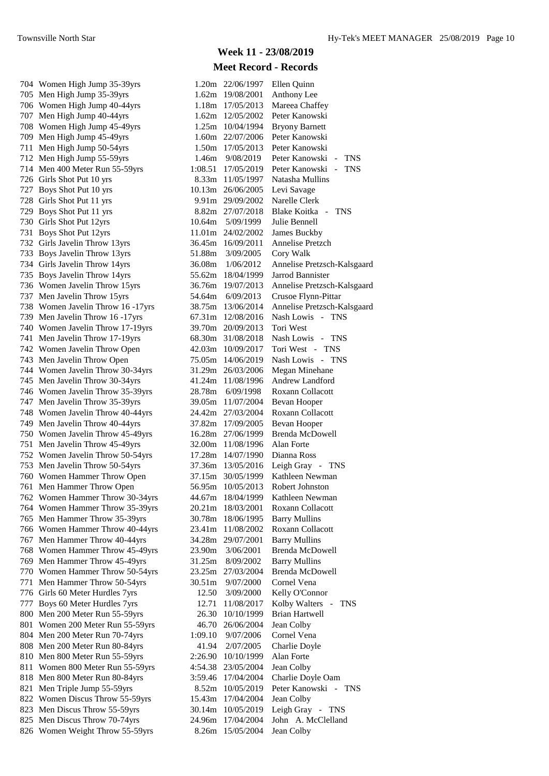704 Women High Jump 35-39yrs 705 Men High Jump 35-39yrs 706 Women High Jump 40-44yrs 707 Men High Jump 40-44yrs 708 Women High Jump 45-49yrs 709 Men High Jump 45-49yrs 711 Men High Jump 50-54yrs 712 Men High Jump 55-59yrs 714 Men 400 Meter Run 55-59yrs 726 Girls Shot Put 10 yrs 727 Boys Shot Put 10 yrs 728 Girls Shot Put 11 yrs 729 Boys Shot Put 11 yrs 730 Girls Shot Put 12yrs 731 Boys Shot Put 12yrs 732 Girls Javelin Throw 13yrs 733 Boys Javelin Throw 13yrs 734 Girls Javelin Throw 14yrs 735 Boys Javelin Throw 14yrs 736 Women Javelin Throw 15yrs 737 Men Javelin Throw 15yrs 738 Women Javelin Throw 16 -17yrs 739 Men Javelin Throw 16 - 17 yrs 740 Women Javelin Throw 17-19yrs 741 Men Javelin Throw 17-19yrs 742 Women Javelin Throw Open 743 Men Javelin Throw Open 744 Women Javelin Throw 30-34yrs 745 Men Javelin Throw 30-34yrs 746 Women Javelin Throw 35-39yrs 747 Men Javelin Throw 35-39yrs 748 Women Javelin Throw 40-44yrs 749 Men Javelin Throw 40-44yrs 750 Women Javelin Throw 45-49yrs 751 Men Javelin Throw 45-49yrs 752 Women Javelin Throw 50-54yrs 753 Men Javelin Throw 50-54yrs 760 Women Hammer Throw Open 761 Men Hammer Throw Open 762 Women Hammer Throw 30-34yrs 764 Women Hammer Throw 35-39yrs 765 Men Hammer Throw 35-39yrs 766 Women Hammer Throw 40-44yrs 767 Men Hammer Throw 40-44yrs 768 Women Hammer Throw 45-49yrs 769 Men Hammer Throw 45-49yrs 770 Women Hammer Throw 50-54yrs 771 Men Hammer Throw 50-54yrs 776 Girls 60 Meter Hurdles 7yrs 777 Boys 60 Meter Hurdles 7yrs 800 Men 200 Meter Run 55-59yrs 801 Women 200 Meter Run 55-59yrs 804 Men 200 Meter Run 70-74yrs 808 Men 200 Meter Run 80-84yrs 810 Men 800 Meter Run 55-59yrs 811 Women 800 Meter Run 55-59yrs 818 Men 800 Meter Run 80-84yrs 821 Men Triple Jump 55-59yrs 822 Women Discus Throw 55-59yrs 823 Men Discus Throw 55-59yrs 825 Men Discus Throw 70-74yrs 826 Women Weight Throw 55-59yrs

| 1.20m   | 22/06/1997                                                                                                                                                                                                                                                  | Ellen Quinn                                                                                                                                                                                                                                                                                                                                                                                                                                                                                                                                                                                                                                                                                                                               |
|---------|-------------------------------------------------------------------------------------------------------------------------------------------------------------------------------------------------------------------------------------------------------------|-------------------------------------------------------------------------------------------------------------------------------------------------------------------------------------------------------------------------------------------------------------------------------------------------------------------------------------------------------------------------------------------------------------------------------------------------------------------------------------------------------------------------------------------------------------------------------------------------------------------------------------------------------------------------------------------------------------------------------------------|
|         |                                                                                                                                                                                                                                                             | Anthony Lee                                                                                                                                                                                                                                                                                                                                                                                                                                                                                                                                                                                                                                                                                                                               |
|         |                                                                                                                                                                                                                                                             | Mareea Chaffey                                                                                                                                                                                                                                                                                                                                                                                                                                                                                                                                                                                                                                                                                                                            |
|         |                                                                                                                                                                                                                                                             | Peter Kanowski                                                                                                                                                                                                                                                                                                                                                                                                                                                                                                                                                                                                                                                                                                                            |
|         |                                                                                                                                                                                                                                                             | <b>Bryony Barnett</b>                                                                                                                                                                                                                                                                                                                                                                                                                                                                                                                                                                                                                                                                                                                     |
|         |                                                                                                                                                                                                                                                             | Peter Kanowski                                                                                                                                                                                                                                                                                                                                                                                                                                                                                                                                                                                                                                                                                                                            |
|         |                                                                                                                                                                                                                                                             | Peter Kanowski                                                                                                                                                                                                                                                                                                                                                                                                                                                                                                                                                                                                                                                                                                                            |
|         |                                                                                                                                                                                                                                                             |                                                                                                                                                                                                                                                                                                                                                                                                                                                                                                                                                                                                                                                                                                                                           |
|         |                                                                                                                                                                                                                                                             | Peter Kanowski<br>$\overline{a}$<br><b>TNS</b><br>$\mathbb{L}^{\mathbb{R}^n}$                                                                                                                                                                                                                                                                                                                                                                                                                                                                                                                                                                                                                                                             |
|         |                                                                                                                                                                                                                                                             | Peter Kanowski<br><b>TNS</b>                                                                                                                                                                                                                                                                                                                                                                                                                                                                                                                                                                                                                                                                                                              |
|         |                                                                                                                                                                                                                                                             | Natasha Mullins                                                                                                                                                                                                                                                                                                                                                                                                                                                                                                                                                                                                                                                                                                                           |
|         |                                                                                                                                                                                                                                                             | Levi Savage                                                                                                                                                                                                                                                                                                                                                                                                                                                                                                                                                                                                                                                                                                                               |
|         |                                                                                                                                                                                                                                                             | Narelle Clerk                                                                                                                                                                                                                                                                                                                                                                                                                                                                                                                                                                                                                                                                                                                             |
|         |                                                                                                                                                                                                                                                             | Blake Koitka -<br><b>TNS</b>                                                                                                                                                                                                                                                                                                                                                                                                                                                                                                                                                                                                                                                                                                              |
|         |                                                                                                                                                                                                                                                             | Julie Bennell                                                                                                                                                                                                                                                                                                                                                                                                                                                                                                                                                                                                                                                                                                                             |
|         |                                                                                                                                                                                                                                                             | <b>James Buckby</b>                                                                                                                                                                                                                                                                                                                                                                                                                                                                                                                                                                                                                                                                                                                       |
|         |                                                                                                                                                                                                                                                             | Annelise Pretzch                                                                                                                                                                                                                                                                                                                                                                                                                                                                                                                                                                                                                                                                                                                          |
| 51.88m  | 3/09/2005                                                                                                                                                                                                                                                   | Cory Walk                                                                                                                                                                                                                                                                                                                                                                                                                                                                                                                                                                                                                                                                                                                                 |
| 36.08m  | 1/06/2012                                                                                                                                                                                                                                                   | Annelise Pretzsch-Kalsgaard                                                                                                                                                                                                                                                                                                                                                                                                                                                                                                                                                                                                                                                                                                               |
|         | 18/04/1999                                                                                                                                                                                                                                                  | Jarrod Bannister                                                                                                                                                                                                                                                                                                                                                                                                                                                                                                                                                                                                                                                                                                                          |
|         | 19/07/2013                                                                                                                                                                                                                                                  | Annelise Pretzsch-Kalsgaard                                                                                                                                                                                                                                                                                                                                                                                                                                                                                                                                                                                                                                                                                                               |
|         |                                                                                                                                                                                                                                                             | Crusoe Flynn-Pittar                                                                                                                                                                                                                                                                                                                                                                                                                                                                                                                                                                                                                                                                                                                       |
|         | 13/06/2014                                                                                                                                                                                                                                                  | Annelise Pretzsch-Kalsgaard                                                                                                                                                                                                                                                                                                                                                                                                                                                                                                                                                                                                                                                                                                               |
|         | 12/08/2016                                                                                                                                                                                                                                                  | Nash Lowis<br>$\omega_{\rm{eff}}$<br><b>TNS</b>                                                                                                                                                                                                                                                                                                                                                                                                                                                                                                                                                                                                                                                                                           |
|         | 20/09/2013                                                                                                                                                                                                                                                  | Tori West                                                                                                                                                                                                                                                                                                                                                                                                                                                                                                                                                                                                                                                                                                                                 |
| 68.30m  | 31/08/2018                                                                                                                                                                                                                                                  | Nash Lowis<br>$\sim$<br><b>TNS</b>                                                                                                                                                                                                                                                                                                                                                                                                                                                                                                                                                                                                                                                                                                        |
| 42.03m  |                                                                                                                                                                                                                                                             | Tori West - TNS                                                                                                                                                                                                                                                                                                                                                                                                                                                                                                                                                                                                                                                                                                                           |
| 75.05m  | 14/06/2019                                                                                                                                                                                                                                                  | Nash Lowis<br><b>TNS</b><br>$\sim$ $-$                                                                                                                                                                                                                                                                                                                                                                                                                                                                                                                                                                                                                                                                                                    |
|         |                                                                                                                                                                                                                                                             | <b>Megan Minehane</b>                                                                                                                                                                                                                                                                                                                                                                                                                                                                                                                                                                                                                                                                                                                     |
|         |                                                                                                                                                                                                                                                             | Andrew Landford                                                                                                                                                                                                                                                                                                                                                                                                                                                                                                                                                                                                                                                                                                                           |
|         |                                                                                                                                                                                                                                                             | Roxann Collacott                                                                                                                                                                                                                                                                                                                                                                                                                                                                                                                                                                                                                                                                                                                          |
|         |                                                                                                                                                                                                                                                             | Bevan Hooper                                                                                                                                                                                                                                                                                                                                                                                                                                                                                                                                                                                                                                                                                                                              |
|         |                                                                                                                                                                                                                                                             | Roxann Collacott                                                                                                                                                                                                                                                                                                                                                                                                                                                                                                                                                                                                                                                                                                                          |
|         |                                                                                                                                                                                                                                                             | <b>Bevan Hooper</b>                                                                                                                                                                                                                                                                                                                                                                                                                                                                                                                                                                                                                                                                                                                       |
|         |                                                                                                                                                                                                                                                             | <b>Brenda McDowell</b>                                                                                                                                                                                                                                                                                                                                                                                                                                                                                                                                                                                                                                                                                                                    |
|         |                                                                                                                                                                                                                                                             | <b>Alan Forte</b>                                                                                                                                                                                                                                                                                                                                                                                                                                                                                                                                                                                                                                                                                                                         |
|         |                                                                                                                                                                                                                                                             | Dianna Ross                                                                                                                                                                                                                                                                                                                                                                                                                                                                                                                                                                                                                                                                                                                               |
|         |                                                                                                                                                                                                                                                             | Leigh Gray -                                                                                                                                                                                                                                                                                                                                                                                                                                                                                                                                                                                                                                                                                                                              |
|         |                                                                                                                                                                                                                                                             | TNS<br>Kathleen Newman                                                                                                                                                                                                                                                                                                                                                                                                                                                                                                                                                                                                                                                                                                                    |
|         |                                                                                                                                                                                                                                                             |                                                                                                                                                                                                                                                                                                                                                                                                                                                                                                                                                                                                                                                                                                                                           |
|         |                                                                                                                                                                                                                                                             | Robert Johnston                                                                                                                                                                                                                                                                                                                                                                                                                                                                                                                                                                                                                                                                                                                           |
|         |                                                                                                                                                                                                                                                             | Kathleen Newman                                                                                                                                                                                                                                                                                                                                                                                                                                                                                                                                                                                                                                                                                                                           |
|         |                                                                                                                                                                                                                                                             | Roxann Collacott                                                                                                                                                                                                                                                                                                                                                                                                                                                                                                                                                                                                                                                                                                                          |
|         |                                                                                                                                                                                                                                                             | <b>Barry Mullins</b>                                                                                                                                                                                                                                                                                                                                                                                                                                                                                                                                                                                                                                                                                                                      |
|         |                                                                                                                                                                                                                                                             | Roxann Collacott                                                                                                                                                                                                                                                                                                                                                                                                                                                                                                                                                                                                                                                                                                                          |
|         |                                                                                                                                                                                                                                                             | <b>Barry Mullins</b>                                                                                                                                                                                                                                                                                                                                                                                                                                                                                                                                                                                                                                                                                                                      |
|         |                                                                                                                                                                                                                                                             | <b>Brenda McDowell</b>                                                                                                                                                                                                                                                                                                                                                                                                                                                                                                                                                                                                                                                                                                                    |
|         |                                                                                                                                                                                                                                                             | <b>Barry Mullins</b>                                                                                                                                                                                                                                                                                                                                                                                                                                                                                                                                                                                                                                                                                                                      |
|         |                                                                                                                                                                                                                                                             | <b>Brenda McDowell</b>                                                                                                                                                                                                                                                                                                                                                                                                                                                                                                                                                                                                                                                                                                                    |
|         |                                                                                                                                                                                                                                                             | Cornel Vena                                                                                                                                                                                                                                                                                                                                                                                                                                                                                                                                                                                                                                                                                                                               |
|         | 3/09/2000                                                                                                                                                                                                                                                   | Kelly O'Connor                                                                                                                                                                                                                                                                                                                                                                                                                                                                                                                                                                                                                                                                                                                            |
| 12.71   | 11/08/2017                                                                                                                                                                                                                                                  | Kolby Walters<br>TNS<br>$\pm$                                                                                                                                                                                                                                                                                                                                                                                                                                                                                                                                                                                                                                                                                                             |
| 26.30   | 10/10/1999                                                                                                                                                                                                                                                  | <b>Brian Hartwell</b>                                                                                                                                                                                                                                                                                                                                                                                                                                                                                                                                                                                                                                                                                                                     |
| 46.70   | 26/06/2004                                                                                                                                                                                                                                                  | Jean Colby                                                                                                                                                                                                                                                                                                                                                                                                                                                                                                                                                                                                                                                                                                                                |
| 1:09.10 | 9/07/2006                                                                                                                                                                                                                                                   | Cornel Vena                                                                                                                                                                                                                                                                                                                                                                                                                                                                                                                                                                                                                                                                                                                               |
| 41.94   | 2/07/2005                                                                                                                                                                                                                                                   | Charlie Doyle                                                                                                                                                                                                                                                                                                                                                                                                                                                                                                                                                                                                                                                                                                                             |
| 2:26.90 | 10/10/1999                                                                                                                                                                                                                                                  | Alan Forte                                                                                                                                                                                                                                                                                                                                                                                                                                                                                                                                                                                                                                                                                                                                |
| 4:54.38 | 23/05/2004                                                                                                                                                                                                                                                  | Jean Colby                                                                                                                                                                                                                                                                                                                                                                                                                                                                                                                                                                                                                                                                                                                                |
| 3:59.46 | 17/04/2004                                                                                                                                                                                                                                                  | Charlie Doyle Oam                                                                                                                                                                                                                                                                                                                                                                                                                                                                                                                                                                                                                                                                                                                         |
| 8.52m   | 10/05/2019                                                                                                                                                                                                                                                  | Peter Kanowski<br>$\sim$<br><b>TNS</b>                                                                                                                                                                                                                                                                                                                                                                                                                                                                                                                                                                                                                                                                                                    |
| 15.43m  | 17/04/2004                                                                                                                                                                                                                                                  | Jean Colby                                                                                                                                                                                                                                                                                                                                                                                                                                                                                                                                                                                                                                                                                                                                |
| 30.14m  | 10/05/2019                                                                                                                                                                                                                                                  | Leigh Gray - TNS                                                                                                                                                                                                                                                                                                                                                                                                                                                                                                                                                                                                                                                                                                                          |
|         |                                                                                                                                                                                                                                                             | John A. McClelland                                                                                                                                                                                                                                                                                                                                                                                                                                                                                                                                                                                                                                                                                                                        |
|         | 15/05/2004                                                                                                                                                                                                                                                  | Jean Colby                                                                                                                                                                                                                                                                                                                                                                                                                                                                                                                                                                                                                                                                                                                                |
|         | 1.62m<br>1.18m<br>1.62m<br>8.82m<br>10.64m<br>11.01m<br>36.45m<br>31.29m<br>41.24m<br>28.78m<br>24.42m<br>17.28m<br>37.36m<br>37.15m<br>56.95m<br>44.67m<br>20.21m<br>30.78m<br>23.41m<br>34.28m<br>23.90m<br>31.25m<br>23.25m<br>30.51m<br>12.50<br>24.96m | 19/08/2001<br>17/05/2013<br>12/05/2002<br>1.25m<br>10/04/1994<br>22/07/2006<br>1.60m<br>1.50m<br>17/05/2013<br>1.46m<br>9/08/2019<br>1:08.51<br>17/05/2019<br>8.33m<br>11/05/1997<br>10.13m<br>26/06/2005<br>9.91m 29/09/2002<br>27/07/2018<br>5/09/1999<br>24/02/2002<br>16/09/2011<br>55.62m<br>36.76m<br>54.64m 6/09/2013<br>38.75m<br>67.31m<br>39.70m<br>10/09/2017<br>26/03/2006<br>11/08/1996<br>6/09/1998<br>39.05m<br>11/07/2004<br>27/03/2004<br>37.82m<br>17/09/2005<br>16.28m<br>27/06/1999<br>32.00m<br>11/08/1996<br>14/07/1990<br>13/05/2016<br>30/05/1999<br>10/05/2013<br>18/04/1999<br>18/03/2001<br>18/06/1995<br>11/08/2002<br>29/07/2001<br>3/06/2001<br>8/09/2002<br>27/03/2004<br>9/07/2000<br>17/04/2004<br>8.26m |